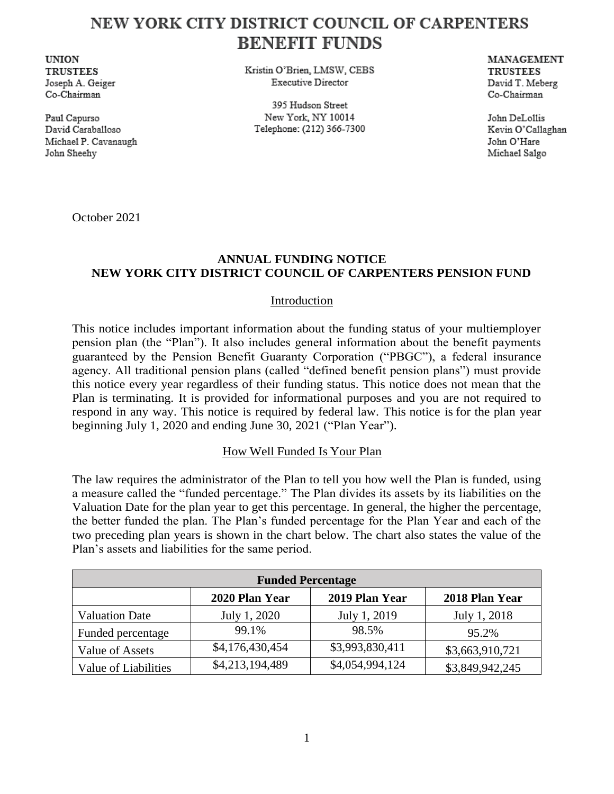# NEW YORK CITY DISTRICT COUNCIL OF CARPENTERS **BENEFIT FUNDS**

**UNION TRUSTEES** Joseph A. Geiger Co-Chairman

Paul Capurso David Caraballoso Michael P. Cavanaugh John Sheehy

October 2021

Kristin O'Brien, LMSW, CEBS **Executive Director** 

395 Hudson Street New York, NY 10014 Telephone: (212) 366-7300 MANAGEMENT **TRUSTEES** David T. Meberg Co-Chairman

John DeLollis Kevin O'Callaghan John O'Hare Michael Salgo

# **ANNUAL FUNDING NOTICE NEW YORK CITY DISTRICT COUNCIL OF CARPENTERS PENSION FUND**

#### Introduction

This notice includes important information about the funding status of your multiemployer pension plan (the "Plan"). It also includes general information about the benefit payments guaranteed by the Pension Benefit Guaranty Corporation ("PBGC"), a federal insurance agency. All traditional pension plans (called "defined benefit pension plans") must provide this notice every year regardless of their funding status. This notice does not mean that the Plan is terminating. It is provided for informational purposes and you are not required to respond in any way. This notice is required by federal law. This notice is for the plan year beginning July 1, 2020 and ending June 30, 2021 ("Plan Year").

#### How Well Funded Is Your Plan

The law requires the administrator of the Plan to tell you how well the Plan is funded, using a measure called the "funded percentage." The Plan divides its assets by its liabilities on the Valuation Date for the plan year to get this percentage. In general, the higher the percentage, the better funded the plan. The Plan's funded percentage for the Plan Year and each of the two preceding plan years is shown in the chart below. The chart also states the value of the Plan's assets and liabilities for the same period.

| <b>Funded Percentage</b> |                 |                 |                 |  |  |
|--------------------------|-----------------|-----------------|-----------------|--|--|
|                          | 2020 Plan Year  | 2019 Plan Year  | 2018 Plan Year  |  |  |
| <b>Valuation Date</b>    | July 1, 2020    | July 1, 2019    | July 1, 2018    |  |  |
| Funded percentage        | 99.1%           | 98.5%           | 95.2%           |  |  |
| Value of Assets          | \$4,176,430,454 | \$3,993,830,411 | \$3,663,910,721 |  |  |
| Value of Liabilities     | \$4,213,194,489 | \$4,054,994,124 | \$3,849,942,245 |  |  |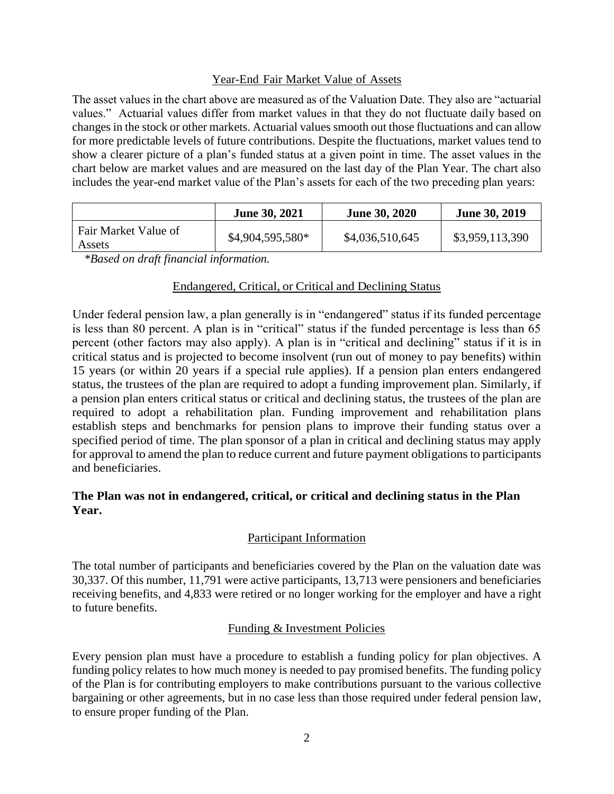## Year-End Fair Market Value of Assets

The asset values in the chart above are measured as of the Valuation Date. They also are "actuarial values." Actuarial values differ from market values in that they do not fluctuate daily based on changes in the stock or other markets. Actuarial values smooth out those fluctuations and can allow for more predictable levels of future contributions. Despite the fluctuations, market values tend to show a clearer picture of a plan's funded status at a given point in time. The asset values in the chart below are market values and are measured on the last day of the Plan Year. The chart also includes the year-end market value of the Plan's assets for each of the two preceding plan years:

|                                | <b>June 30, 2021</b> | <b>June 30, 2020</b> | <b>June 30, 2019</b> |
|--------------------------------|----------------------|----------------------|----------------------|
| Fair Market Value of<br>Assets | $$4,904,595,580*$    | \$4,036,510,645      | \$3,959,113,390      |

 *\*Based on draft financial information.*

## Endangered, Critical, or Critical and Declining Status

Under federal pension law, a plan generally is in "endangered" status if its funded percentage is less than 80 percent. A plan is in "critical" status if the funded percentage is less than 65 percent (other factors may also apply). A plan is in "critical and declining" status if it is in critical status and is projected to become insolvent (run out of money to pay benefits) within 15 years (or within 20 years if a special rule applies). If a pension plan enters endangered status, the trustees of the plan are required to adopt a funding improvement plan. Similarly, if a pension plan enters critical status or critical and declining status, the trustees of the plan are required to adopt a rehabilitation plan. Funding improvement and rehabilitation plans establish steps and benchmarks for pension plans to improve their funding status over a specified period of time. The plan sponsor of a plan in critical and declining status may apply for approval to amend the plan to reduce current and future payment obligations to participants and beneficiaries.

## **The Plan was not in endangered, critical, or critical and declining status in the Plan Year.**

## Participant Information

The total number of participants and beneficiaries covered by the Plan on the valuation date was 30,337. Of this number, 11,791 were active participants, 13,713 were pensioners and beneficiaries receiving benefits, and 4,833 were retired or no longer working for the employer and have a right to future benefits.

## Funding & Investment Policies

Every pension plan must have a procedure to establish a funding policy for plan objectives. A funding policy relates to how much money is needed to pay promised benefits. The funding policy of the Plan is for contributing employers to make contributions pursuant to the various collective bargaining or other agreements, but in no case less than those required under federal pension law, to ensure proper funding of the Plan.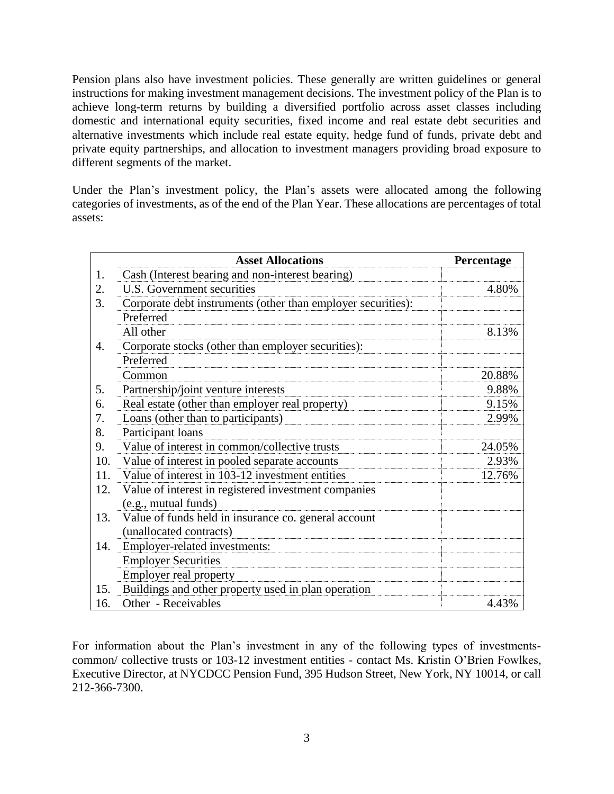Pension plans also have investment policies. These generally are written guidelines or general instructions for making investment management decisions. The investment policy of the Plan is to achieve long-term returns by building a diversified portfolio across asset classes including domestic and international equity securities, fixed income and real estate debt securities and alternative investments which include real estate equity, hedge fund of funds, private debt and private equity partnerships, and allocation to investment managers providing broad exposure to different segments of the market.

Under the Plan's investment policy, the Plan's assets were allocated among the following categories of investments, as of the end of the Plan Year. These allocations are percentages of total assets:

|     | <b>Asset Allocations</b>                                     | Percentage |
|-----|--------------------------------------------------------------|------------|
| 1.  | Cash (Interest bearing and non-interest bearing)             |            |
| 2.  | U.S. Government securities                                   | 4.80%      |
| 3.  | Corporate debt instruments (other than employer securities): |            |
|     | Preferred                                                    |            |
|     | All other                                                    | 8.13%      |
| 4.  | Corporate stocks (other than employer securities):           |            |
|     | Preferred                                                    |            |
|     | Common                                                       | 20.88%     |
| 5.  | Partnership/joint venture interests                          | 9.88%      |
| 6.  | Real estate (other than employer real property)              | 9.15%      |
| 7.  | Loans (other than to participants)                           | 2.99%      |
| 8.  | Participant loans                                            |            |
| 9.  | Value of interest in common/collective trusts                | 24.05%     |
| 10. | Value of interest in pooled separate accounts                | 2.93%      |
| 11. | Value of interest in 103-12 investment entities              | 12.76%     |
| 12. | Value of interest in registered investment companies         |            |
|     | (e.g., mutual funds)                                         |            |
| 13. | Value of funds held in insurance co. general account         |            |
|     | (unallocated contracts)                                      |            |
|     | 14. Employer-related investments:                            |            |
|     | <b>Employer Securities</b>                                   |            |
|     | <b>Employer real property</b>                                |            |
| 15. | Buildings and other property used in plan operation          |            |
| 16. | Other - Receivables                                          | 4.43%      |

For information about the Plan's investment in any of the following types of investmentscommon/ collective trusts or 103-12 investment entities - contact Ms. Kristin O'Brien Fowlkes, Executive Director, at NYCDCC Pension Fund, 395 Hudson Street, New York, NY 10014, or call 212-366-7300.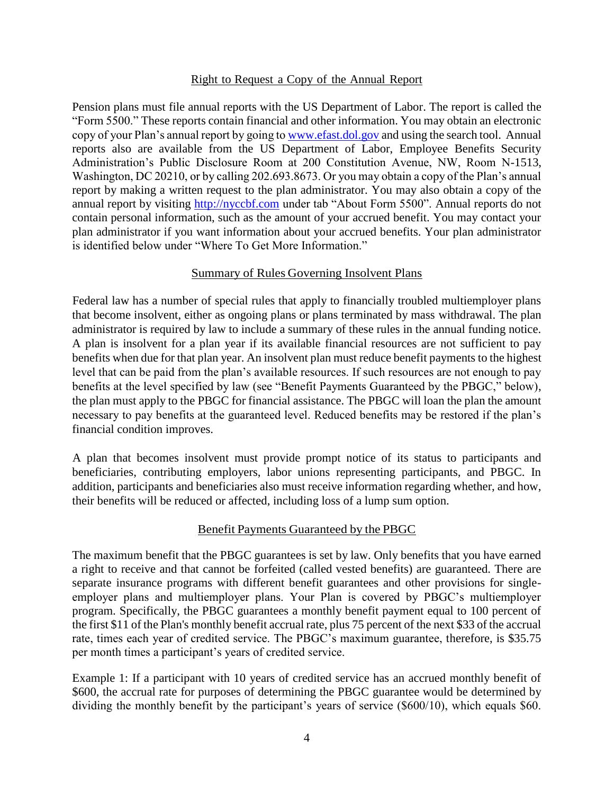#### Right to Request a Copy of the Annual Report

Pension plans must file annual reports with the US Department of Labor. The report is called the "Form 5500." These reports contain financial and other information. You may obtain an electronic copy of your Plan's annual report by going to [www.efast.dol.gov](www.efast.dol.gov%20) and using the search tool. Annual reports also are available from the US Department of Labor, Employee Benefits Security Administration's Public Disclosure Room at 200 Constitution Avenue, NW, Room N-1513, Washington, DC 20210, or by calling 202.693.8673. Or you may obtain a copy of the Plan's annual report by making a written request to the plan administrator. You may also obtain a copy of the annual report by visiting [http://nyccbf.com](http://nyccbf.com/) under tab "About Form 5500". Annual reports do not contain personal information, such as the amount of your accrued benefit. You may contact your plan administrator if you want information about your accrued benefits. Your plan administrator is identified below under "Where To Get More Information."

#### Summary of Rules Governing Insolvent Plans

Federal law has a number of special rules that apply to financially troubled multiemployer plans that become insolvent, either as ongoing plans or plans terminated by mass withdrawal. The plan administrator is required by law to include a summary of these rules in the annual funding notice. A plan is insolvent for a plan year if its available financial resources are not sufficient to pay benefits when due for that plan year. An insolvent plan must reduce benefit payments to the highest level that can be paid from the plan's available resources. If such resources are not enough to pay benefits at the level specified by law (see "Benefit Payments Guaranteed by the PBGC," below), the plan must apply to the PBGC for financial assistance. The PBGC will loan the plan the amount necessary to pay benefits at the guaranteed level. Reduced benefits may be restored if the plan's financial condition improves.

A plan that becomes insolvent must provide prompt notice of its status to participants and beneficiaries, contributing employers, labor unions representing participants, and PBGC. In addition, participants and beneficiaries also must receive information regarding whether, and how, their benefits will be reduced or affected, including loss of a lump sum option.

#### Benefit Payments Guaranteed by the PBGC

The maximum benefit that the PBGC guarantees is set by law. Only benefits that you have earned a right to receive and that cannot be forfeited (called vested benefits) are guaranteed. There are separate insurance programs with different benefit guarantees and other provisions for singleemployer plans and multiemployer plans. Your Plan is covered by PBGC's multiemployer program. Specifically, the PBGC guarantees a monthly benefit payment equal to 100 percent of the first \$11 of the Plan's monthly benefit accrual rate, plus 75 percent of the next \$33 of the accrual rate, times each year of credited service. The PBGC's maximum guarantee, therefore, is \$35.75 per month times a participant's years of credited service.

Example 1: If a participant with 10 years of credited service has an accrued monthly benefit of \$600, the accrual rate for purposes of determining the PBGC guarantee would be determined by dividing the monthly benefit by the participant's years of service (\$600/10), which equals \$60.